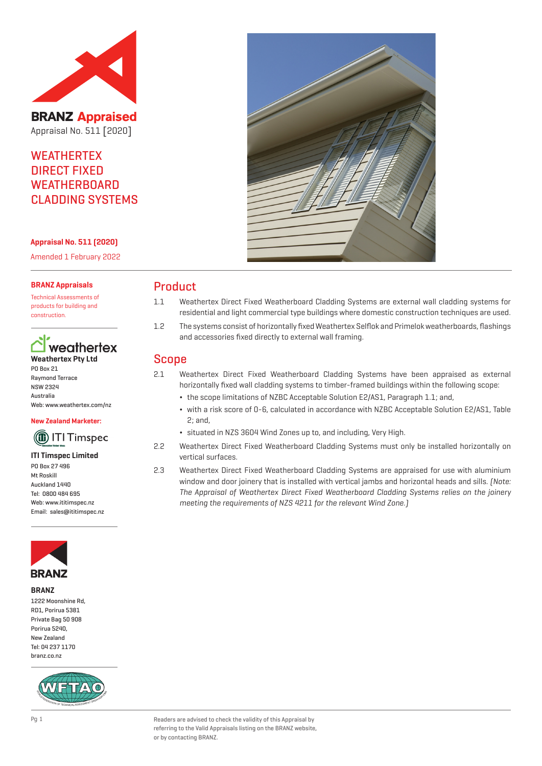

**BRANZ Appraised** Appraisal No. 511 [2020]

## **WEATHERTEX** DIRECT FIXED **WEATHERBOARD** CLADDING SYSTEMS

**Appraisal No. 511 (2020)**

Amended 1 February 2022

#### **BRANZ Appraisals**

Technical Assessments of products for building and construction.

## weathertex **Weathertex Pty Ltd**

PO Box 21 Raymond Terrace NSW 2324 Australia Web: www.weathertex.com/nz

**New Zealand Marketer:**

# **(iii) ITI Timspec**

#### **ITI Timspec Limited**

PO Box 27 496 Mt Roskill Auckland 1440 Tel: 0800 484 695 Web: www.ititimspec.nz Email: sales@ititimspec.nz



#### **BRANZ**

1222 Moonshine Rd. RD1, Porirua 5381 Private Bag 50 908 Porirua 5240, New Zealand Tel: 04 237 1170 branz.co.nz





## Product

- 1.1 Weathertex Direct Fixed Weatherboard Cladding Systems are external wall cladding systems for residential and light commercial type buildings where domestic construction techniques are used.
- 1.2 The systems consist of horizontally fixed Weathertex Selflok and Primelok weatherboards, flashings and accessories fixed directly to external wall framing.

## Scope

- 2.1 Weathertex Direct Fixed Weatherboard Cladding Systems have been appraised as external horizontally fixed wall cladding systems to timber-framed buildings within the following scope:
	- ¬ the scope limitations of NZBC Acceptable Solution E2/AS1, Paragraph 1.1; and,
	- ¬ with a risk score of 0-6, calculated in accordance with NZBC Acceptable Solution E2/AS1, Table 2; and,
	- ¬ situated in NZS 3604 Wind Zones up to, and including, Very High.
- 2.2 Weathertex Direct Fixed Weatherboard Cladding Systems must only be installed horizontally on vertical surfaces.
- 2.3 Weathertex Direct Fixed Weatherboard Cladding Systems are appraised for use with aluminium window and door joinery that is installed with vertical jambs and horizontal heads and sills. [Note: The Appraisal of Weathertex Direct Fixed Weatherboard Cladding Systems relies on the joinery meeting the requirements of NZS 4211 for the relevant Wind Zone.)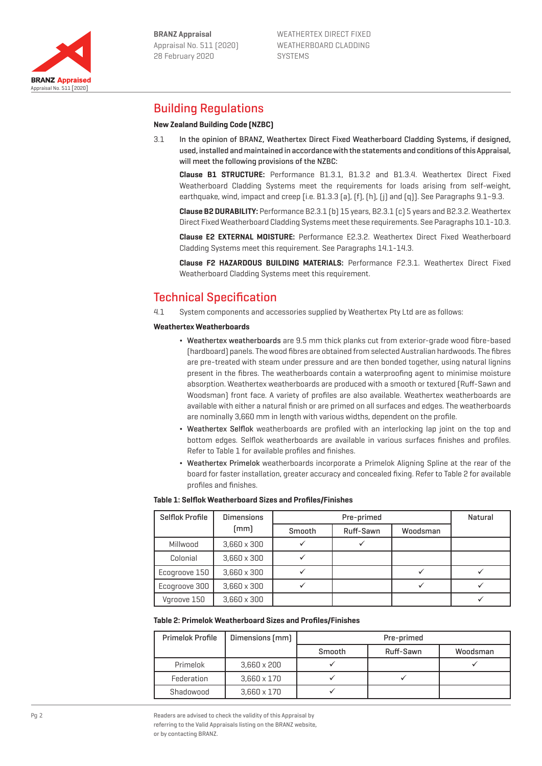

Appraisal No. 511 [2020]

**BRANZ Appraised** 

WEATHERTEX DIRECT FIXED WEATHERBOARD CLADDING SYSTEMS

## Building Regulations

## **New Zealand Building Code (NZBC)**

3.1 In the opinion of BRANZ, Weathertex Direct Fixed Weatherboard Cladding Systems, if designed, used, installed and maintained in accordance with the statements and conditions of this Appraisal, will meet the following provisions of the NZBC:

**Clause B1 STRUCTURE:** Performance B1.3.1, B1.3.2 and B1.3.4. Weathertex Direct Fixed Weatherboard Cladding Systems meet the requirements for loads arising from self-weight, earthquake, wind, impact and creep [i.e. B1.3.3 (a), (f), (h), (i) and (q)]. See Paragraphs 9.1–9.3.

**Clause B2 DURABILITY:** Performance B2.3.1 (b) 15 years, B2.3.1 (c) 5 years and B2.3.2. Weathertex Direct Fixed Weatherboard Cladding Systems meet these requirements. See Paragraphs 10.1-10.3.

**Clause E2 EXTERNAL MOISTURE:** Performance E2.3.2. Weathertex Direct Fixed Weatherboard Cladding Systems meet this requirement. See Paragraphs 14.1-14.3.

**Clause F2 HAZARDOUS BUILDING MATERIALS:** Performance F2.3.1. Weathertex Direct Fixed Weatherboard Cladding Systems meet this requirement.

## Technical Specification

4.1 System components and accessories supplied by Weathertex Pty Ltd are as follows:

#### **Weathertex Weatherboards**

- ¬ Weathertex weatherboards are 9.5 mm thick planks cut from exterior-grade wood fibre-based (hardboard) panels. The wood fibres are obtained from selected Australian hardwoods. The fibres are pre-treated with steam under pressure and are then bonded together, using natural lignins present in the fibres. The weatherboards contain a waterproofing agent to minimise moisture absorption. Weathertex weatherboards are produced with a smooth or textured (Ruff-Sawn and Woodsman) front face. A variety of profiles are also available. Weathertex weatherboards are available with either a natural finish or are primed on all surfaces and edges. The weatherboards are nominally 3,660 mm in length with various widths, dependent on the profile.
- Weathertex Selflok weatherboards are profiled with an interlocking lap joint on the top and bottom edges. Selflok weatherboards are available in various surfaces finishes and profiles. Refer to Table 1 for available profiles and finishes.
- ¬ Weathertex Primelok weatherboards incorporate a Primelok Aligning Spline at the rear of the board for faster installation, greater accuracy and concealed fixing. Refer to Table 2 for available profiles and finishes.

#### **Table 1: Selflok Weatherboard Sizes and Profiles/Finishes**

| Selflok Profile | <b>Dimensions</b>  | Pre-primed |           |          | Natural |
|-----------------|--------------------|------------|-----------|----------|---------|
|                 | [mm]               | Smooth     | Ruff-Sawn | Woodsman |         |
| Millwood        | $3,660 \times 300$ |            |           |          |         |
| Colonial        | $3,660 \times 300$ |            |           |          |         |
| Ecogroove 150   | $3.660 \times 300$ |            |           |          |         |
| Ecogroove 300   | $3.660 \times 300$ |            |           |          |         |
| Varoove 150     | $3.660 \times 300$ |            |           |          |         |

#### **Table 2: Primelok Weatherboard Sizes and Profiles/Finishes**

| <b>Primelok Profile</b> | Dimensions (mm)    | Pre-primed |           |          |  |
|-------------------------|--------------------|------------|-----------|----------|--|
|                         |                    | Smooth     | Ruff-Sawn | Woodsman |  |
| Primelok                | $3,660 \times 200$ |            |           |          |  |
| Federation              | $3,660 \times 170$ |            |           |          |  |
| Shadowood               | $3.660 \times 170$ |            |           |          |  |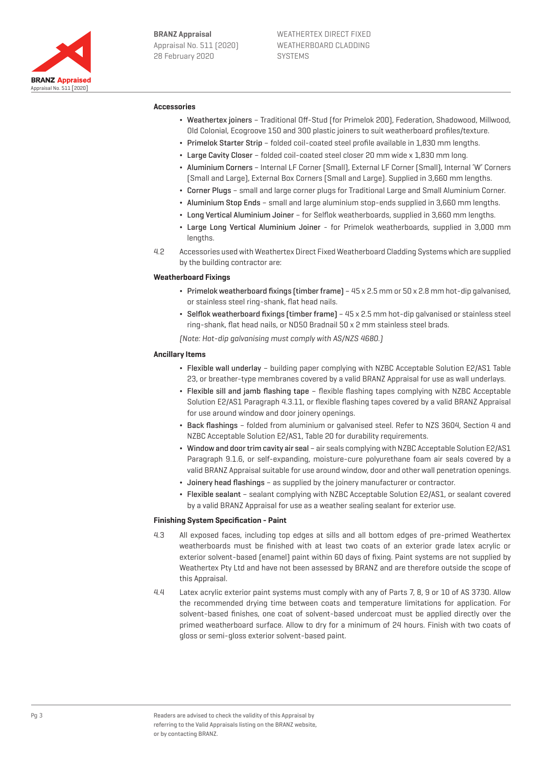

#### **Accessories**

- ¬ Weathertex joiners Traditional Off-Stud (for Primelok 200), Federation, Shadowood, Millwood, Old Colonial, Ecogroove 150 and 300 plastic joiners to suit weatherboard profiles/texture.
- ¬ Primelok Starter Strip folded coil-coated steel profile available in 1,830 mm lengths.
- ¬ Large Cavity Closer folded coil-coated steel closer 20 mm wide x 1,830 mm long.
- ¬ Aluminium Corners Internal LF Corner (Small), External LF Corner (Small), Internal 'W' Corners (Small and Large), External Box Corners (Small and Large). Supplied in 3,660 mm lengths.
- ¬ Corner Plugs small and large corner plugs for Traditional Large and Small Aluminium Corner.
- ¬ Aluminium Stop Ends small and large aluminium stop-ends supplied in 3,660 mm lengths.
- ¬ Long Vertical Aluminium Joiner for Selflok weatherboards, supplied in 3,660 mm lengths.
- ¬ Large Long Vertical Aluminium Joiner for Primelok weatherboards, supplied in 3,000 mm lengths.
- 4.2 Accessories used with Weathertex Direct Fixed Weatherboard Cladding Systems which are supplied by the building contractor are:

#### **Weatherboard Fixings**

- ¬ Primelok weatherboard fixings (timber frame) 45 x 2.5 mm or 50 x 2.8 mm hot-dip galvanised, or stainless steel ring-shank, flat head nails.
- ¬ Selflok weatherboard fixings (timber frame) 45 x 2.5 mm hot-dip galvanised or stainless steel ring-shank, flat head nails, or ND50 Bradnail 50 x 2 mm stainless steel brads.

(Note: Hot-dip galvanising must comply with AS/NZS 4680.)

#### **Ancillary Items**

- ¬ Flexible wall underlay building paper complying with NZBC Acceptable Solution E2/AS1 Table 23, or breather-type membranes covered by a valid BRANZ Appraisal for use as wall underlays.
- ¬ Flexible sill and jamb flashing tape flexible flashing tapes complying with NZBC Acceptable Solution E2/AS1 Paragraph 4.3.11, or flexible flashing tapes covered by a valid BRANZ Appraisal for use around window and door joinery openings.
- ¬ Back flashings folded from aluminium or galvanised steel. Refer to NZS 3604, Section 4 and NZBC Acceptable Solution E2/AS1, Table 20 for durability requirements.
- ¬ Window and door trim cavity air seal air seals complying with NZBC Acceptable Solution E2/AS1 Paragraph 9.1.6, or self-expanding, moisture-cure polyurethane foam air seals covered by a valid BRANZ Appraisal suitable for use around window, door and other wall penetration openings.
- ¬ Joinery head flashings as supplied by the joinery manufacturer or contractor.
- ¬ Flexible sealant sealant complying with NZBC Acceptable Solution E2/AS1, or sealant covered by a valid BRANZ Appraisal for use as a weather sealing sealant for exterior use.

#### **Finishing System Specification - Paint**

- 4.3 All exposed faces, including top edges at sills and all bottom edges of pre-primed Weathertex weatherboards must be finished with at least two coats of an exterior grade latex acrylic or exterior solvent-based (enamel) paint within 60 days of fixing. Paint systems are not supplied by Weathertex Pty Ltd and have not been assessed by BRANZ and are therefore outside the scope of this Appraisal.
- 4.4 Latex acrylic exterior paint systems must comply with any of Parts 7, 8, 9 or 10 of AS 3730. Allow the recommended drying time between coats and temperature limitations for application. For solvent-based finishes, one coat of solvent-based undercoat must be applied directly over the primed weatherboard surface. Allow to dry for a minimum of 24 hours. Finish with two coats of gloss or semi-gloss exterior solvent-based paint.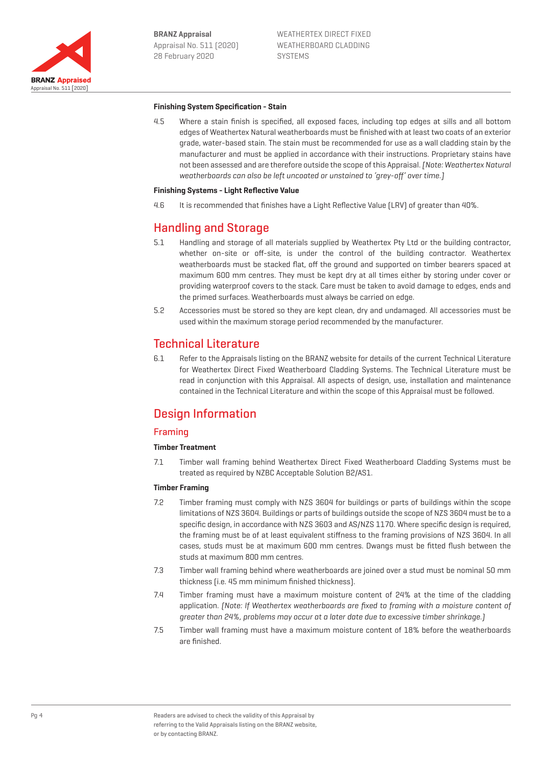

#### **Finishing System Specification - Stain**

4.5 Where a stain finish is specified, all exposed faces, including top edges at sills and all bottom edges of Weathertex Natural weatherboards must be finished with at least two coats of an exterior grade, water-based stain. The stain must be recommended for use as a wall cladding stain by the manufacturer and must be applied in accordance with their instructions. Proprietary stains have not been assessed and are therefore outside the scope of this Appraisal. [Note: Weathertex Natural weatherboards can also be left uncoated or unstained to 'grey-off' over time.]

#### **Finishing Systems - Light Reflective Value**

4.6 It is recommended that finishes have a Light Reflective Value (LRV) of greater than 40%.

## Handling and Storage

- 5.1 Handling and storage of all materials supplied by Weathertex Pty Ltd or the building contractor, whether on-site or off-site, is under the control of the building contractor. Weathertex weatherboards must be stacked flat, off the ground and supported on timber bearers spaced at maximum 600 mm centres. They must be kept dry at all times either by storing under cover or providing waterproof covers to the stack. Care must be taken to avoid damage to edges, ends and the primed surfaces. Weatherboards must always be carried on edge.
- 5.2 Accessories must be stored so they are kept clean, dry and undamaged. All accessories must be used within the maximum storage period recommended by the manufacturer.

## Technical Literature

6.1 Refer to the Appraisals listing on the BRANZ website for details of the current Technical Literature for Weathertex Direct Fixed Weatherboard Cladding Systems. The Technical Literature must be read in conjunction with this Appraisal. All aspects of design, use, installation and maintenance contained in the Technical Literature and within the scope of this Appraisal must be followed.

## Design Information

## Framing

## **Timber Treatment**

7.1 Timber wall framing behind Weathertex Direct Fixed Weatherboard Cladding Systems must be treated as required by NZBC Acceptable Solution B2/AS1.

#### **Timber Framing**

- 7.2 Timber framing must comply with NZS 3604 for buildings or parts of buildings within the scope limitations of NZS 3604. Buildings or parts of buildings outside the scope of NZS 3604 must be to a specific design, in accordance with NZS 3603 and AS/NZS 1170. Where specific design is required, the framing must be of at least equivalent stiffness to the framing provisions of NZS 3604. In all cases, studs must be at maximum 600 mm centres. Dwangs must be fitted flush between the studs at maximum 800 mm centres.
- 7.3 Timber wall framing behind where weatherboards are joined over a stud must be nominal 50 mm thickness (i.e. 45 mm minimum finished thickness).
- 7.4 Timber framing must have a maximum moisture content of 24% at the time of the cladding application. (Note: If Weathertex weatherboards are fixed to framing with a moisture content of greater than 24%, problems may occur at a later date due to excessive timber shrinkage.)
- 7.5 Timber wall framing must have a maximum moisture content of 18% before the weatherboards are finished.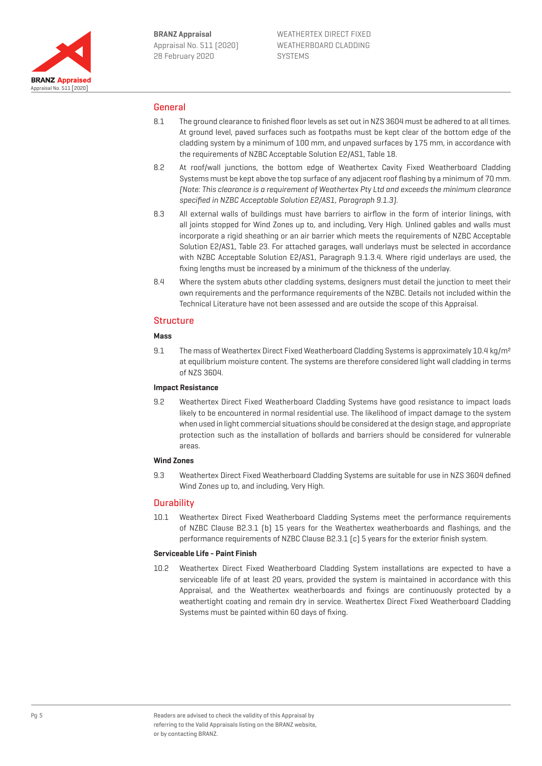

## General

- 8.1 The ground clearance to finished floor levels as set out in NZS 3604 must be adhered to at all times. At ground level, paved surfaces such as footpaths must be kept clear of the bottom edge of the cladding system by a minimum of 100 mm, and unpaved surfaces by 175 mm, in accordance with the requirements of NZBC Acceptable Solution E2/AS1, Table 18.
- 8.2 At roof/wall junctions, the bottom edge of Weathertex Cavity Fixed Weatherboard Cladding Systems must be kept above the top surface of any adjacent roof flashing by a minimum of 70 mm. (Note: This clearance is a requirement of Weathertex Pty Ltd and exceeds the minimum clearance specified in NZBC Acceptable Solution E2/AS1, Paragraph 9.1.3).
- 8.3 All external walls of buildings must have barriers to airflow in the form of interior linings, with all joints stopped for Wind Zones up to, and including, Very High. Unlined gables and walls must incorporate a rigid sheathing or an air barrier which meets the requirements of NZBC Acceptable Solution E2/AS1, Table 23. For attached garages, wall underlays must be selected in accordance with NZBC Acceptable Solution E2/AS1, Paragraph 9.1.3.4. Where rigid underlays are used, the fixing lengths must be increased by a minimum of the thickness of the underlay.
- 8.4 Where the system abuts other cladding systems, designers must detail the junction to meet their own requirements and the performance requirements of the NZBC. Details not included within the Technical Literature have not been assessed and are outside the scope of this Appraisal.

## **Structure**

### **Mass**

9.1 The mass of Weathertex Direct Fixed Weatherboard Cladding Systems is approximately 10.4 kg/m<sup>2</sup> at equilibrium moisture content. The systems are therefore considered light wall cladding in terms of NZS 3604.

#### **Impact Resistance**

9.2 Weathertex Direct Fixed Weatherboard Cladding Systems have good resistance to impact loads likely to be encountered in normal residential use. The likelihood of impact damage to the system when used in light commercial situations should be considered at the design stage, and appropriate protection such as the installation of bollards and barriers should be considered for vulnerable areas.

#### **Wind Zones**

9.3 Weathertex Direct Fixed Weatherboard Cladding Systems are suitable for use in NZS 3604 defined Wind Zones up to, and including, Very High.

## **Durability**

10.1 Weathertex Direct Fixed Weatherboard Cladding Systems meet the performance requirements of NZBC Clause B2.3.1 (b) 15 years for the Weathertex weatherboards and flashings, and the performance requirements of NZBC Clause B2.3.1 (c) 5 years for the exterior finish system.

#### **Serviceable Life - Paint Finish**

10.2 Weathertex Direct Fixed Weatherboard Cladding System installations are expected to have a serviceable life of at least 20 years, provided the system is maintained in accordance with this Appraisal, and the Weathertex weatherboards and fixings are continuously protected by a weathertight coating and remain dry in service. Weathertex Direct Fixed Weatherboard Cladding Systems must be painted within 60 days of fixing.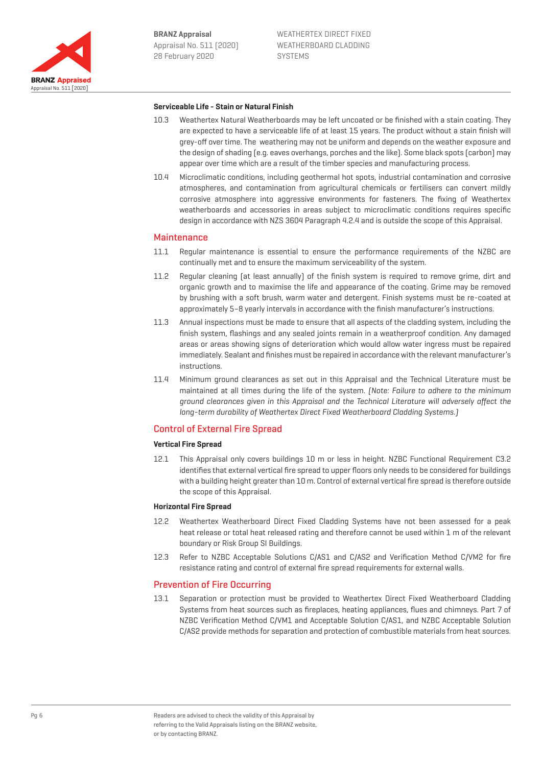

#### **Serviceable Life - Stain or Natural Finish**

- 10.3 Weathertex Natural Weatherboards may be left uncoated or be finished with a stain coating. They are expected to have a serviceable life of at least 15 years. The product without a stain finish will grey-off over time. The weathering may not be uniform and depends on the weather exposure and the design of shading (e.g. eaves overhangs, porches and the like). Some black spots (carbon) may appear over time which are a result of the timber species and manufacturing process.
- 10.4 Microclimatic conditions, including geothermal hot spots, industrial contamination and corrosive atmospheres, and contamination from agricultural chemicals or fertilisers can convert mildly corrosive atmosphere into aggressive environments for fasteners. The fixing of Weathertex weatherboards and accessories in areas subject to microclimatic conditions requires specific design in accordance with NZS 3604 Paragraph 4.2.4 and is outside the scope of this Appraisal.

#### **Maintenance**

- 11.1 Regular maintenance is essential to ensure the performance requirements of the NZBC are continually met and to ensure the maximum serviceability of the system.
- 11.2 Regular cleaning (at least annually) of the finish system is required to remove grime, dirt and organic growth and to maximise the life and appearance of the coating. Grime may be removed by brushing with a soft brush, warm water and detergent. Finish systems must be re-coated at approximately 5–8 yearly intervals in accordance with the finish manufacturer's instructions.
- 11.3 Annual inspections must be made to ensure that all aspects of the cladding system, including the finish system, flashings and any sealed joints remain in a weatherproof condition. Any damaged areas or areas showing signs of deterioration which would allow water ingress must be repaired immediately. Sealant and finishes must be repaired in accordance with the relevant manufacturer's instructions.
- 11.4 Minimum ground clearances as set out in this Appraisal and the Technical Literature must be maintained at all times during the life of the system. (Note: Failure to adhere to the minimum ground clearances given in this Appraisal and the Technical Literature will adversely affect the long-term durability of Weathertex Direct Fixed Weatherboard Cladding Systems.)

## Control of External Fire Spread

### **Vertical Fire Spread**

12.1 This Appraisal only covers buildings 10 m or less in height. NZBC Functional Requirement C3.2 identifies that external vertical fire spread to upper floors only needs to be considered for buildings with a building height greater than 10 m. Control of external vertical fire spread is therefore outside the scope of this Appraisal.

#### **Horizontal Fire Spread**

- 12.2 Weathertex Weatherboard Direct Fixed Cladding Systems have not been assessed for a peak heat release or total heat released rating and therefore cannot be used within 1 m of the relevant boundary or Risk Group SI Buildings.
- 12.3 Refer to NZBC Acceptable Solutions C/AS1 and C/AS2 and Verification Method C/VM2 for fire resistance rating and control of external fire spread requirements for external walls.

#### Prevention of Fire Occurring

13.1 Separation or protection must be provided to Weathertex Direct Fixed Weatherboard Cladding Systems from heat sources such as fireplaces, heating appliances, flues and chimneys. Part 7 of NZBC Verification Method C/VM1 and Acceptable Solution C/AS1, and NZBC Acceptable Solution C/AS2 provide methods for separation and protection of combustible materials from heat sources.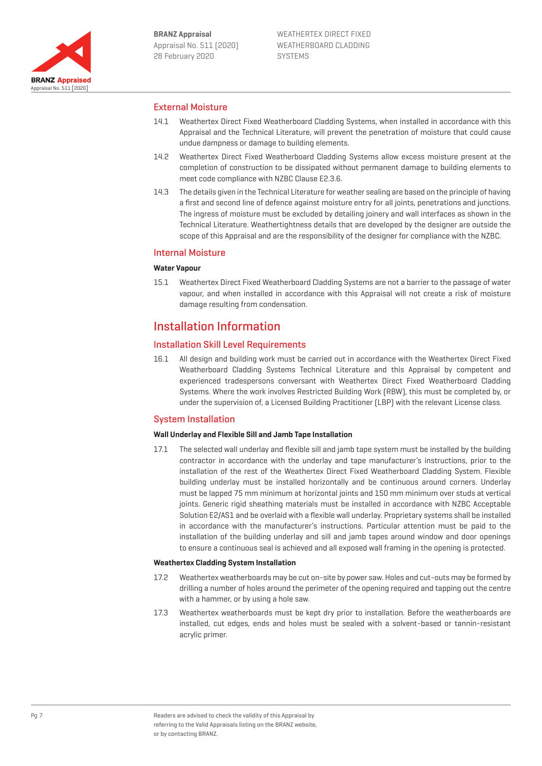

## External Moisture

- 14.1 Weathertex Direct Fixed Weatherboard Cladding Systems, when installed in accordance with this Appraisal and the Technical Literature, will prevent the penetration of moisture that could cause undue dampness or damage to building elements.
- 14.2 Weathertex Direct Fixed Weatherboard Cladding Systems allow excess moisture present at the completion of construction to be dissipated without permanent damage to building elements to meet code compliance with NZBC Clause E2.3.6.
- 14.3 The details given in the Technical Literature for weather sealing are based on the principle of having a first and second line of defence against moisture entry for all joints, penetrations and junctions. The ingress of moisture must be excluded by detailing joinery and wall interfaces as shown in the Technical Literature. Weathertightness details that are developed by the designer are outside the scope of this Appraisal and are the responsibility of the designer for compliance with the NZBC.

## Internal Moisture

## **Water Vapour**

15.1 Weathertex Direct Fixed Weatherboard Cladding Systems are not a barrier to the passage of water vapour, and when installed in accordance with this Appraisal will not create a risk of moisture damage resulting from condensation.

## Installation Information

## Installation Skill Level Requirements

16.1 All design and building work must be carried out in accordance with the Weathertex Direct Fixed Weatherboard Cladding Systems Technical Literature and this Appraisal by competent and experienced tradespersons conversant with Weathertex Direct Fixed Weatherboard Cladding Systems. Where the work involves Restricted Building Work (RBW), this must be completed by, or under the supervision of, a Licensed Building Practitioner (LBP) with the relevant License class.

## System Installation

## **Wall Underlay and Flexible Sill and Jamb Tape Installation**

17.1 The selected wall underlay and flexible sill and jamb tape system must be installed by the building contractor in accordance with the underlay and tape manufacturer's instructions, prior to the installation of the rest of the Weathertex Direct Fixed Weatherboard Cladding System. Flexible building underlay must be installed horizontally and be continuous around corners. Underlay must be lapped 75 mm minimum at horizontal joints and 150 mm minimum over studs at vertical joints. Generic rigid sheathing materials must be installed in accordance with NZBC Acceptable Solution E2/AS1 and be overlaid with a flexible wall underlay. Proprietary systems shall be installed in accordance with the manufacturer's instructions. Particular attention must be paid to the installation of the building underlay and sill and jamb tapes around window and door openings to ensure a continuous seal is achieved and all exposed wall framing in the opening is protected.

## **Weathertex Cladding System Installation**

- 17.2 Weathertex weatherboards may be cut on-site by power saw. Holes and cut-outs may be formed by drilling a number of holes around the perimeter of the opening required and tapping out the centre with a hammer, or by using a hole saw.
- 17.3 Weathertex weatherboards must be kept dry prior to installation. Before the weatherboards are installed, cut edges, ends and holes must be sealed with a solvent-based or tannin-resistant acrylic primer.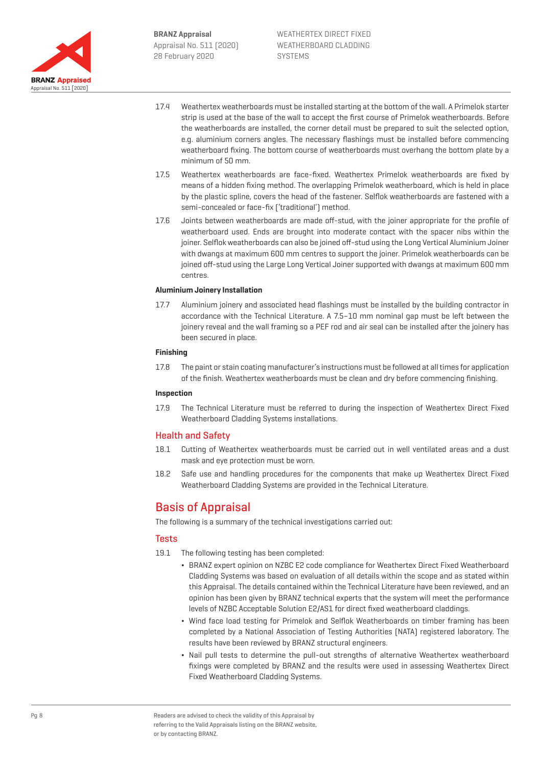

- 17.4 Weathertex weatherboards must be installed starting at the bottom of the wall. A Primelok starter strip is used at the base of the wall to accept the first course of Primelok weatherboards. Before the weatherboards are installed, the corner detail must be prepared to suit the selected option, e.g. aluminium corners angles. The necessary flashings must be installed before commencing weatherboard fixing. The bottom course of weatherboards must overhang the bottom plate by a minimum of 50 mm.
- 17.5 Weathertex weatherboards are face-fixed. Weathertex Primelok weatherboards are fixed by means of a hidden fixing method. The overlapping Primelok weatherboard, which is held in place by the plastic spline, covers the head of the fastener. Selflok weatherboards are fastened with a semi-concealed or face-fix ('traditional') method.
- 17.6 Joints between weatherboards are made off-stud, with the joiner appropriate for the profile of weatherboard used. Ends are brought into moderate contact with the spacer nibs within the joiner. Selflok weatherboards can also be joined off-stud using the Long Vertical Aluminium Joiner with dwangs at maximum 600 mm centres to support the joiner. Primelok weatherboards can be joined off-stud using the Large Long Vertical Joiner supported with dwangs at maximum 600 mm centres.

#### **Aluminium Joinery Installation**

17.7 Aluminium joinery and associated head flashings must be installed by the building contractor in accordance with the Technical Literature. A 7.5–10 mm nominal gap must be left between the joinery reveal and the wall framing so a PEF rod and air seal can be installed after the joinery has been secured in place.

### **Finishing**

17.8 The paint or stain coating manufacturer's instructions must be followed at all times for application of the finish. Weathertex weatherboards must be clean and dry before commencing finishing.

#### **Inspection**

17.9 The Technical Literature must be referred to during the inspection of Weathertex Direct Fixed Weatherboard Cladding Systems installations.

## Health and Safety

- 18.1 Cutting of Weathertex weatherboards must be carried out in well ventilated areas and a dust mask and eye protection must be worn.
- 18.2 Safe use and handling procedures for the components that make up Weathertex Direct Fixed Weatherboard Cladding Systems are provided in the Technical Literature.

## Basis of Appraisal

The following is a summary of the technical investigations carried out:

## **Tests**

- 19.1 The following testing has been completed:
	- ¬ BRANZ expert opinion on NZBC E2 code compliance for Weathertex Direct Fixed Weatherboard Cladding Systems was based on evaluation of all details within the scope and as stated within this Appraisal. The details contained within the Technical Literature have been reviewed, and an opinion has been given by BRANZ technical experts that the system will meet the performance levels of NZBC Acceptable Solution E2/AS1 for direct fixed weatherboard claddings.
	- ¬ Wind face load testing for Primelok and Selflok Weatherboards on timber framing has been completed by a National Association of Testing Authorities (NATA) registered laboratory. The results have been reviewed by BRANZ structural engineers.
	- ¬ Nail pull tests to determine the pull-out strengths of alternative Weathertex weatherboard fixings were completed by BRANZ and the results were used in assessing Weathertex Direct Fixed Weatherboard Cladding Systems.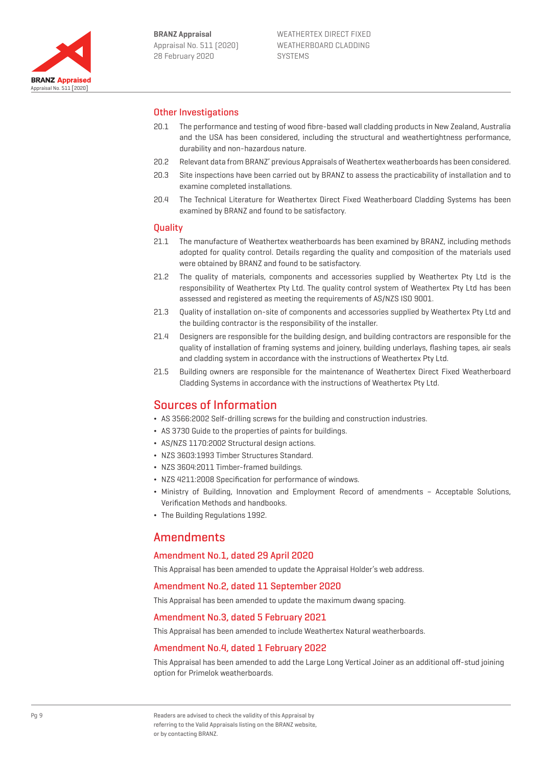

## Other Investigations

- 20.1 The performance and testing of wood fibre-based wall cladding products in New Zealand, Australia and the USA has been considered, including the structural and weathertightness performance, durability and non-hazardous nature.
- 20.2 Relevant data from BRANZ' previous Appraisals of Weathertex weatherboards has been considered.
- 20.3 Site inspections have been carried out by BRANZ to assess the practicability of installation and to examine completed installations.
- 20.4 The Technical Literature for Weathertex Direct Fixed Weatherboard Cladding Systems has been examined by BRANZ and found to be satisfactory.

## **Quality**

- 21.1 The manufacture of Weathertex weatherboards has been examined by BRANZ, including methods adopted for quality control. Details regarding the quality and composition of the materials used were obtained by BRANZ and found to be satisfactory.
- 21.2 The quality of materials, components and accessories supplied by Weathertex Pty Ltd is the responsibility of Weathertex Pty Ltd. The quality control system of Weathertex Pty Ltd has been assessed and registered as meeting the requirements of AS/NZS ISO 9001.
- 21.3 Quality of installation on-site of components and accessories supplied by Weathertex Pty Ltd and the building contractor is the responsibility of the installer.
- 21.4 Designers are responsible for the building design, and building contractors are responsible for the quality of installation of framing systems and joinery, building underlays, flashing tapes, air seals and cladding system in accordance with the instructions of Weathertex Pty Ltd.
- 21.5 Building owners are responsible for the maintenance of Weathertex Direct Fixed Weatherboard Cladding Systems in accordance with the instructions of Weathertex Pty Ltd.

## Sources of Information

- ¬ AS 3566:2002 Self-drilling screws for the building and construction industries.
- ¬ AS 3730 Guide to the properties of paints for buildings.
- ¬ AS/NZS 1170:2002 Structural design actions.
- ¬ NZS 3603:1993 Timber Structures Standard.
- ¬ NZS 3604:2011 Timber-framed buildings.
- ¬ NZS 4211:2008 Specification for performance of windows.
- ¬ Ministry of Building, Innovation and Employment Record of amendments Acceptable Solutions, Verification Methods and handbooks.
- ¬ The Building Regulations 1992.

## **Amendments**

## Amendment No.1, dated 29 April 2020

This Appraisal has been amended to update the Appraisal Holder's web address.

## Amendment No.2, dated 11 September 2020

This Appraisal has been amended to update the maximum dwang spacing.

## Amendment No.3, dated 5 February 2021

This Appraisal has been amended to include Weathertex Natural weatherboards.

## Amendment No.4, dated 1 February 2022

This Appraisal has been amended to add the Large Long Vertical Joiner as an additional off-stud joining option for Primelok weatherboards.